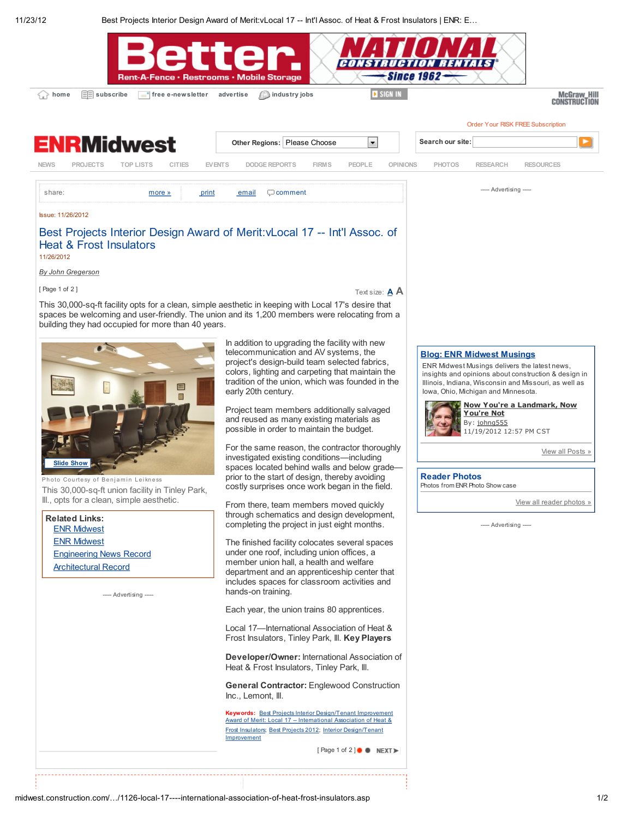11/23/12 Best Projects Interior Design Award of Merit:vLocal 17 -- Int'l Assoc. of Heat & Frost Insulators | ENR: E…